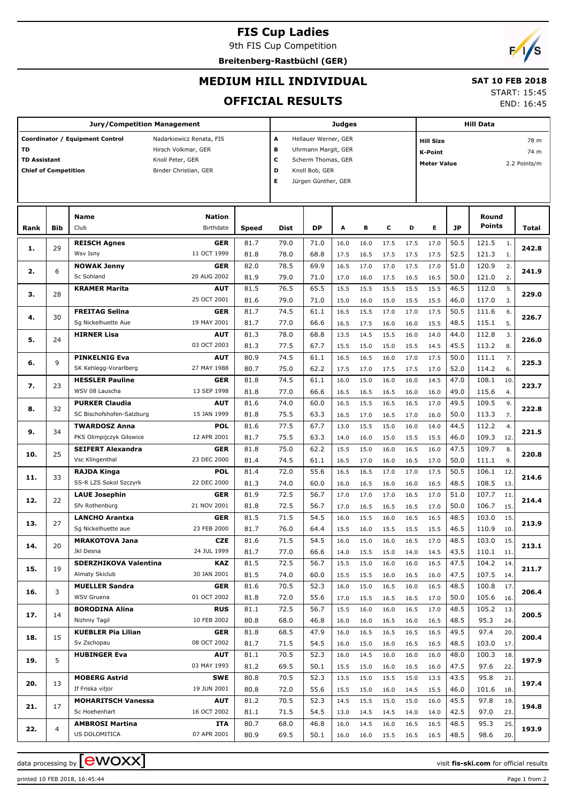## **FIS Cup Ladies**

9th FIS Cup Competition

**Breitenberg-Rastbüchl (GER)**



#### **MEDIUM HILL INDIVIDUAL**

#### **SAT 10 FEB 2018** START: 15:45

END: 16:45

### **OFFICIAL RESULTS**

| <b>Jury/Competition Management</b>                       |                |                                                                                                                                 |                            |                                                                                                                                     |              | <b>Judges</b> |              |              |              |                                                                                   |              | <b>Hill Data</b> |                        |            |       |  |  |
|----------------------------------------------------------|----------------|---------------------------------------------------------------------------------------------------------------------------------|----------------------------|-------------------------------------------------------------------------------------------------------------------------------------|--------------|---------------|--------------|--------------|--------------|-----------------------------------------------------------------------------------|--------------|------------------|------------------------|------------|-------|--|--|
| TD<br><b>TD Assistant</b><br><b>Chief of Competition</b> |                | Coordinator / Equipment Control<br>Nadarkiewicz Renata, FIS<br>Hirsch Volkmar, GER<br>Knoll Peter, GER<br>Binder Christian, GER |                            | Hellauer Werner, GER<br>А<br>в<br>Uhrmann Margit, GER<br>C<br>Scherm Thomas, GER<br>D<br>Knoll Bob, GER<br>Е<br>Jürgen Günther, GER |              |               |              |              |              | <b>Hill Size</b><br>78 m<br>74 m<br>K-Point<br><b>Meter Value</b><br>2.2 Points/m |              |                  |                        |            |       |  |  |
|                                                          |                |                                                                                                                                 |                            |                                                                                                                                     |              |               |              |              |              |                                                                                   |              |                  |                        |            |       |  |  |
| Rank                                                     | <b>Bib</b>     | <b>Name</b><br>Club                                                                                                             | <b>Nation</b><br>Birthdate | <b>Speed</b>                                                                                                                        | <b>Dist</b>  | <b>DP</b>     | Α            | в            | c            | D                                                                                 | E.           | <b>JP</b>        | Round<br><b>Points</b> |            | Total |  |  |
|                                                          |                | <b>REISCH Agnes</b>                                                                                                             | <b>GER</b>                 | 81.7                                                                                                                                | 79.0         | 71.0          | 16.0         | 16.0         | 17.5         | 17.5                                                                              | 17.0         | 50.5             | 121.5                  | 1.         |       |  |  |
| 1.                                                       | 29             | Wsv Isny                                                                                                                        | 11 OCT 1999                | 81.8                                                                                                                                | 78.0         | 68.8          | 17.5         | 16.5         | 17.5         | 17.5                                                                              | 17.5         | 52.5             | 121.3                  | 1.         | 242.8 |  |  |
| 2.                                                       | 6              | <b>NOWAK Jenny</b>                                                                                                              | <b>GER</b>                 | 82.0                                                                                                                                | 78.5         | 69.9          | 16.5         | 17.0         | 17.0         | 17.5                                                                              | 17.0         | 51.0             | 120.9                  | 2.         | 241.9 |  |  |
|                                                          |                | Sc Sohland                                                                                                                      | 20 AUG 2002                | 81.9                                                                                                                                | 79.0         | 71.0          | 17.0         | 16.0         | 17.5         | 16.5                                                                              | 16.5         | 50.0             | 121.0                  | 2.         |       |  |  |
| з.                                                       | 28             | <b>KRAMER Marita</b>                                                                                                            | <b>AUT</b>                 | 81.5                                                                                                                                | 76.5         | 65.5          | 15.5         | 15.5         | 15.5         | 15.5                                                                              | 15.5         | 46.5             | 112.0                  | 5.         | 229.0 |  |  |
|                                                          |                |                                                                                                                                 | 25 OCT 2001                | 81.6                                                                                                                                | 79.0         | 71.0          | 15.0         | 16.0         | 15.0         | 15.5                                                                              | 15.5         | 46.0             | 117.0                  | 3.         |       |  |  |
| 4.                                                       | 30             | <b>FREITAG Selina</b><br>Sg Nickelhuette Aue                                                                                    | <b>GER</b><br>19 MAY 2001  | 81.7<br>81.7                                                                                                                        | 74.5<br>77.0 | 61.1<br>66.6  | 16.5         | 15.5         | 17.0         | 17.0                                                                              | 17.5<br>15.5 | 50.5<br>48.5     | 111.6<br>115.1         | 6.<br>5.   | 226.7 |  |  |
|                                                          |                | <b>HIRNER Lisa</b>                                                                                                              | <b>AUT</b>                 | 81.3                                                                                                                                | 78.0         | 68.8          | 16.5<br>13.5 | 17.5<br>14.5 | 16.0<br>15.5 | 16.0<br>16.0                                                                      | 14.0         | 44.0             | 112.8                  | 3.         |       |  |  |
| 5.                                                       | 24             |                                                                                                                                 | 03 OCT 2003                | 81.3                                                                                                                                | 77.5         | 67.7          | 15.5         | 15.0         | 15.0         | 15.5                                                                              | 14.5         | 45.5             | 113.2                  | 8.         | 226.0 |  |  |
|                                                          |                | <b>PINKELNIG Eva</b>                                                                                                            | <b>AUT</b>                 | 80.9                                                                                                                                | 74.5         | 61.1          | 16.5         | 16.5         | 16.0         | 17.0                                                                              | 17.5         | 50.0             | 111.1                  | 7.         |       |  |  |
| 6.                                                       | 9              | SK Kehlegg-Vorarlberg                                                                                                           | 27 MAY 1988                | 80.7                                                                                                                                | 75.0         | 62.2          | 17.5         | 17.0         | 17.5         | 17.5                                                                              | 17.0         | 52.0             | 114.2                  | 6.         | 225.3 |  |  |
| 7.                                                       | 23             | <b>HESSLER Pauline</b>                                                                                                          | <b>GER</b>                 | 81.8                                                                                                                                | 74.5         | 61.1          | 16.0         | 15.0         | 16.0         | 16.0                                                                              | 14.5         | 47.0             | 108.1                  | 10.        | 223.7 |  |  |
|                                                          |                | WSV 08 Lauscha                                                                                                                  | 13 SEP 1998                | 81.8                                                                                                                                | 77.0         | 66.6          | 16.5         | 16.5         | 16.5         | 16.0                                                                              | 16.0         | 49.0             | 115.6                  | 4.         |       |  |  |
| 8.                                                       | 32             | <b>PURKER Claudia</b>                                                                                                           | <b>AUT</b>                 | 81.6                                                                                                                                | 74.0         | 60.0          | 16.5         | 15.5         | 16.5         | 16.5                                                                              | 17.0         | 49.5             | 109.5                  | 9.         | 222.8 |  |  |
|                                                          |                | SC Bischofshofen-Salzburg                                                                                                       | 15 JAN 1999                | 81.8                                                                                                                                | 75.5         | 63.3          | 16.5         | 17.0         | 16.5         | 17.0                                                                              | 16.0         | 50.0             | 113.3                  | 7.         |       |  |  |
| 9.                                                       | 34             | <b>TWARDOSZ Anna</b>                                                                                                            | <b>POL</b>                 | 81.6                                                                                                                                | 77.5         | 67.7          | 15.5<br>13.0 |              | 15.0         | 16.0                                                                              | 14.0         | 44.5             | 112.2                  | 4.         | 221.5 |  |  |
|                                                          |                | PKS Olimpijczyk Gilowice                                                                                                        | 12 APR 2001                | 81.7                                                                                                                                | 75.5         | 63.3          | 14.0         | 16.0         | 15.0         | 15.5                                                                              | 15.5         | 46.0             | 109.3                  | 12         |       |  |  |
| 10.                                                      | 25             | <b>SEIFERT Alexandra</b>                                                                                                        | <b>GER</b>                 | 81.8                                                                                                                                | 75.0         | 62.2          | 15.5         | 15.0         | 16.0         | 16.5                                                                              | 16.0         | 47.5             | 109.7                  | 8.         | 220.8 |  |  |
|                                                          |                | Vsc Klingenthal<br><b>RAJDA Kinga</b>                                                                                           | 23 DEC 2000<br>POL         | 81.4<br>81.4                                                                                                                        | 74.5<br>72.0 | 61.1<br>55.6  | 16.5<br>16.5 | 17.0<br>16.5 | 16.0<br>17.0 | 16.5<br>17.0                                                                      | 17.0<br>17.5 | 50.0<br>50.5     | 111.1<br>106.1         | 9.<br>12   |       |  |  |
| 11.                                                      | 33             | SS-R LZS Sokol Szczyrk                                                                                                          | 22 DEC 2000                | 81.3                                                                                                                                | 74.0         | 60.0          | 16.0         | 16.5         | 16.0         | 16.0                                                                              | 16.5         | 48.5             | 108.5                  | 13.        | 214.6 |  |  |
|                                                          |                | <b>LAUE Josephin</b>                                                                                                            | <b>GER</b>                 | 81.9                                                                                                                                | 72.5         | 56.7          | 17.0         | 17.0         | 17.0         | 16.5                                                                              | 17.0         | 51.0             | 107.7                  | 11         |       |  |  |
| 12.                                                      | 22             | Sfv Rothenburg                                                                                                                  | 21 NOV 2001                | 81.8                                                                                                                                | 72.5         | 56.7          | 17.0         | 16.5         | 16.5         | 16.5                                                                              | 17.0         | 50.0             | 106.7                  | 15.        | 214.4 |  |  |
|                                                          |                | <b>LANCHO Arantxa</b>                                                                                                           | <b>GER</b>                 | 81.5                                                                                                                                | 71.5         | 54.5          | 16.0         | 15.5         | 16.0         | 16.5                                                                              | 16.5         | 48.5             | 103.0                  | 15.        |       |  |  |
| 13.                                                      | 27             | Sg Nickelhuette aue                                                                                                             | 23 FEB 2000                | 81.7                                                                                                                                | 76.0         | 64.4          | 15.5         | 16.0         | 15.5         | 15.5                                                                              | 15.5         | 46.5             | 110.9                  | 10.        | 213.9 |  |  |
|                                                          | 20             | <b>MRAKOTOVA Jana</b>                                                                                                           | <b>CZE</b>                 | 81.6                                                                                                                                | 71.5         | 54.5          | 16.0         | 15.0         | 16.0         | 16.5                                                                              | 17.0         | 48.5             | 103.0                  | 15.        | 213.1 |  |  |
| 14.                                                      |                | Jkl Desna                                                                                                                       | 24 JUL 1999                | 81.7                                                                                                                                | 77.0         | 66.6          | 14.0         | 15.5         | 15.0         | 14.0                                                                              | 14.5         | 43.5             | 110.1                  | 11.        |       |  |  |
| 15.                                                      | 19             | SDERZHIKOVA Valentina                                                                                                           | KAZ                        | 81.5                                                                                                                                | 72.5         | 56.7          | 15.5         | 15.0         | 16.0         | 16.0                                                                              | 16.5         | 47.5             | 104.2                  | 14.        | 211.7 |  |  |
|                                                          |                | Almaty Skiclub                                                                                                                  | 30 JAN 2001                | 81.5                                                                                                                                | 74.0         | 60.0          | 15.5         | 15.5         | 16.0         | 16.5                                                                              | 16.0         | 47.5             | 107.5                  | 14.        |       |  |  |
| 16.                                                      | 3              | <b>MUELLER Sandra</b><br>WSV Gruena                                                                                             | <b>GER</b>                 | 81.6                                                                                                                                | 70.5         | 52.3          | 16.0         | 15.0         | 16.5         | 16.0                                                                              | 16.5         | 48.5             | 100.8                  | 17.        | 206.4 |  |  |
|                                                          |                | <b>BORODINA Alina</b>                                                                                                           | 01 OCT 2002                | 81.8                                                                                                                                | 72.0         | 55.6<br>56.7  | 17.0         | 15.5<br>16.0 | 16.5         | 16.5                                                                              | 17.0         | 50.0             | 105.6<br>105.2         | 16.        |       |  |  |
| 17.                                                      | 14             | Nizhniy Tagil                                                                                                                   | <b>RUS</b><br>10 FEB 2002  | 81.1<br>80.8                                                                                                                        | 72.5<br>68.0 | 46.8          | 15.5<br>16.0 | 16.0         | 16.0<br>16.5 | 16.5<br>16.0                                                                      | 17.0<br>16.5 | 48.5<br>48.5     | 95.3                   | 13.<br>24. | 200.5 |  |  |
|                                                          |                | <b>KUEBLER Pia Lilian</b>                                                                                                       | <b>GER</b>                 | 81.8                                                                                                                                | 68.5         | 47.9          | 16.0         | 16.5         | 16.5         | 16.5                                                                              | 16.5         | 49.5             | 97.4                   | 20.        |       |  |  |
| 18.                                                      | 15             | Sv Zschopau                                                                                                                     | 08 OCT 2002                | 81.7                                                                                                                                | 71.5         | 54.5          | 16.0         | 15.0         | 16.0         | 16.5                                                                              | 16.5         | 48.5             | 103.0                  | 17.        | 200.4 |  |  |
|                                                          |                | <b>HUBINGER Eva</b>                                                                                                             | <b>AUT</b>                 | 81.1                                                                                                                                | 70.5         | 52.3          | 16.0         | 14.5         | 16.0         | 16.0                                                                              | 16.0         | 48.0             | 100.3                  | 18.        |       |  |  |
| 19.                                                      | 5              |                                                                                                                                 | 03 MAY 1993                | 81.2                                                                                                                                | 69.5         | 50.1          | 15.5         | 15.0         | 16.0         | 16.5                                                                              | 16.0         | 47.5             | 97.6                   | 22.        | 197.9 |  |  |
| 20.                                                      | 13             | <b>MOBERG Astrid</b>                                                                                                            | <b>SWE</b>                 | 80.8                                                                                                                                | 70.5         | 52.3          | 13.5         | 15.0         | 15.5         | 15.0                                                                              | 13.5         | 43.5             | 95.8                   | 21.        | 197.4 |  |  |
|                                                          |                | If Friska viljor                                                                                                                | 19 JUN 2001                | 80.8                                                                                                                                | 72.0         | 55.6          | 15.5         | 15.0         | 16.0         | 14.5                                                                              | 15.5         | 46.0             | 101.6                  | 18.        |       |  |  |
| 21.                                                      | 17             | <b>MOHARITSCH Vanessa</b>                                                                                                       | <b>AUT</b>                 | 81.2                                                                                                                                | 70.5         | 52.3          | 14.5         | 15.5         | 15.0         | 15.0                                                                              | 16.0         | 45.5             | 97.8                   | 19.        | 194.8 |  |  |
|                                                          |                | Sc Hoehenhart                                                                                                                   | 16 OCT 2002                | 81.1                                                                                                                                | 71.5         | 54.5          | 13.0         | 14.5         | 14.5         | 14.0                                                                              | 14.0         | 42.5             | 97.0                   | 23.        |       |  |  |
| 22.                                                      | $\overline{4}$ | <b>AMBROSI Martina</b><br>US DOLOMITICA                                                                                         | ITA<br>07 APR 2001         | 80.7                                                                                                                                | 68.0         | 46.8          | 16.0         | 14.5         | 16.0         | 16.5                                                                              | 16.5         | 48.5             | 95.3                   | 25.        | 193.9 |  |  |
|                                                          |                |                                                                                                                                 |                            | 80.9                                                                                                                                | 69.5         | 50.1          | 16.0         | 16.0         | 15.5         | 16.5                                                                              | 16.5         | 48.5             | 98.6                   | 20.        |       |  |  |

data processing by **CWOXX**  $\blacksquare$